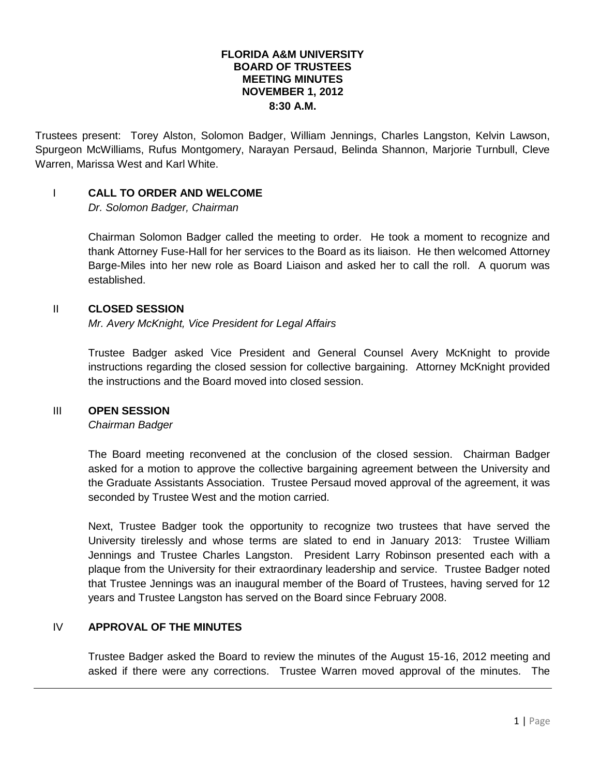#### **FLORIDA A&M UNIVERSITY BOARD OF TRUSTEES MEETING MINUTES NOVEMBER 1, 2012 8:30 A.M.**

Trustees present: Torey Alston, Solomon Badger, William Jennings, Charles Langston, Kelvin Lawson, Spurgeon McWilliams, Rufus Montgomery, Narayan Persaud, Belinda Shannon, Marjorie Turnbull, Cleve Warren, Marissa West and Karl White.

#### I **CALL TO ORDER AND WELCOME**

*Dr. Solomon Badger, Chairman*

Chairman Solomon Badger called the meeting to order. He took a moment to recognize and thank Attorney Fuse-Hall for her services to the Board as its liaison. He then welcomed Attorney Barge-Miles into her new role as Board Liaison and asked her to call the roll. A quorum was established.

#### II **CLOSED SESSION**

*Mr. Avery McKnight, Vice President for Legal Affairs*

Trustee Badger asked Vice President and General Counsel Avery McKnight to provide instructions regarding the closed session for collective bargaining. Attorney McKnight provided the instructions and the Board moved into closed session.

#### III **OPEN SESSION**

*Chairman Badger*

The Board meeting reconvened at the conclusion of the closed session. Chairman Badger asked for a motion to approve the collective bargaining agreement between the University and the Graduate Assistants Association. Trustee Persaud moved approval of the agreement, it was seconded by Trustee West and the motion carried.

Next, Trustee Badger took the opportunity to recognize two trustees that have served the University tirelessly and whose terms are slated to end in January 2013: Trustee William Jennings and Trustee Charles Langston. President Larry Robinson presented each with a plaque from the University for their extraordinary leadership and service. Trustee Badger noted that Trustee Jennings was an inaugural member of the Board of Trustees, having served for 12 years and Trustee Langston has served on the Board since February 2008.

# IV **APPROVAL OF THE MINUTES**

Trustee Badger asked the Board to review the minutes of the August 15-16, 2012 meeting and asked if there were any corrections. Trustee Warren moved approval of the minutes. The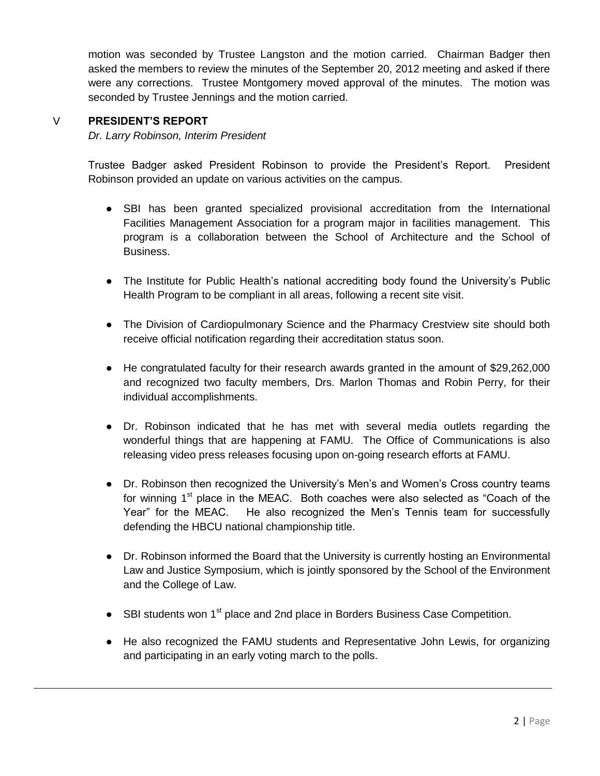motion was seconded by Trustee Langston and the motion carried. Chairman Badger then asked the members to review the minutes of the September 20, 2012 meeting and asked if there were any corrections. Trustee Montgomery moved approval of the minutes. The motion was seconded by Trustee Jennings and the motion carried.

# V **PRESIDENT'S REPORT**

*Dr. Larry Robinson, Interim President*

Trustee Badger asked President Robinson to provide the President's Report. President Robinson provided an update on various activities on the campus.

- SBI has been granted specialized provisional accreditation from the International Facilities Management Association for a program major in facilities management. This program is a collaboration between the School of Architecture and the School of Business.
- The Institute for Public Health's national accrediting body found the University's Public Health Program to be compliant in all areas, following a recent site visit.
- The Division of Cardiopulmonary Science and the Pharmacy Crestview site should both receive official notification regarding their accreditation status soon.
- He congratulated faculty for their research awards granted in the amount of \$29,262,000 and recognized two faculty members, Drs. Marlon Thomas and Robin Perry, for their individual accomplishments.
- Dr. Robinson indicated that he has met with several media outlets regarding the wonderful things that are happening at FAMU. The Office of Communications is also releasing video press releases focusing upon on-going research efforts at FAMU.
- Dr. Robinson then recognized the University's Men's and Women's Cross country teams for winning  $1<sup>st</sup>$  place in the MEAC. Both coaches were also selected as "Coach of the Year" for the MEAC. He also recognized the Men's Tennis team for successfully defending the HBCU national championship title.
- Dr. Robinson informed the Board that the University is currently hosting an Environmental Law and Justice Symposium, which is jointly sponsored by the School of the Environment and the College of Law.
- SBI students won 1<sup>st</sup> place and 2nd place in Borders Business Case Competition.
- He also recognized the FAMU students and Representative John Lewis, for organizing and participating in an early voting march to the polls.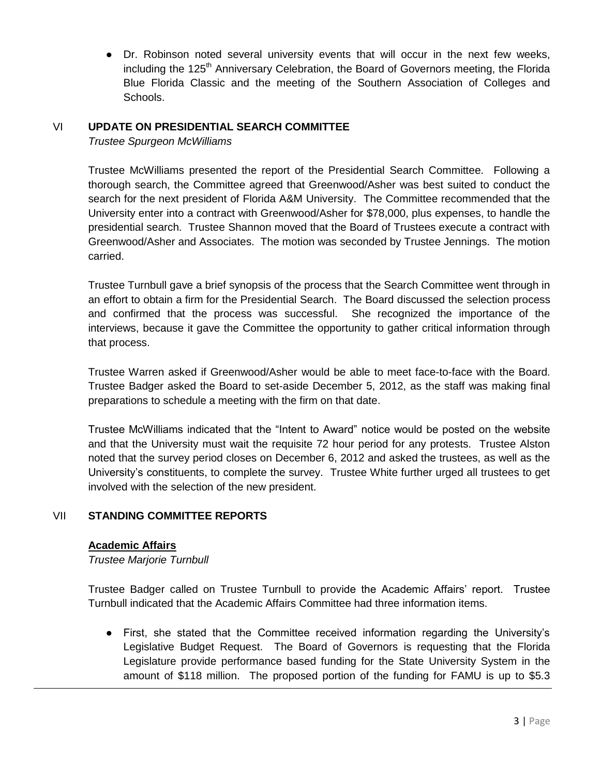• Dr. Robinson noted several university events that will occur in the next few weeks, including the 125<sup>th</sup> Anniversary Celebration, the Board of Governors meeting, the Florida Blue Florida Classic and the meeting of the Southern Association of Colleges and Schools.

# VI **UPDATE ON PRESIDENTIAL SEARCH COMMITTEE**

*Trustee Spurgeon McWilliams*

Trustee McWilliams presented the report of the Presidential Search Committee. Following a thorough search, the Committee agreed that Greenwood/Asher was best suited to conduct the search for the next president of Florida A&M University. The Committee recommended that the University enter into a contract with Greenwood/Asher for \$78,000, plus expenses, to handle the presidential search. Trustee Shannon moved that the Board of Trustees execute a contract with Greenwood/Asher and Associates. The motion was seconded by Trustee Jennings. The motion carried.

Trustee Turnbull gave a brief synopsis of the process that the Search Committee went through in an effort to obtain a firm for the Presidential Search. The Board discussed the selection process and confirmed that the process was successful. She recognized the importance of the interviews, because it gave the Committee the opportunity to gather critical information through that process.

Trustee Warren asked if Greenwood/Asher would be able to meet face-to-face with the Board. Trustee Badger asked the Board to set-aside December 5, 2012, as the staff was making final preparations to schedule a meeting with the firm on that date.

Trustee McWilliams indicated that the "Intent to Award" notice would be posted on the website and that the University must wait the requisite 72 hour period for any protests. Trustee Alston noted that the survey period closes on December 6, 2012 and asked the trustees, as well as the University's constituents, to complete the survey. Trustee White further urged all trustees to get involved with the selection of the new president.

### VII **STANDING COMMITTEE REPORTS**

#### **Academic Affairs**

*Trustee Marjorie Turnbull*

Trustee Badger called on Trustee Turnbull to provide the Academic Affairs' report. Trustee Turnbull indicated that the Academic Affairs Committee had three information items.

● First, she stated that the Committee received information regarding the University's Legislative Budget Request. The Board of Governors is requesting that the Florida Legislature provide performance based funding for the State University System in the amount of \$118 million. The proposed portion of the funding for FAMU is up to \$5.3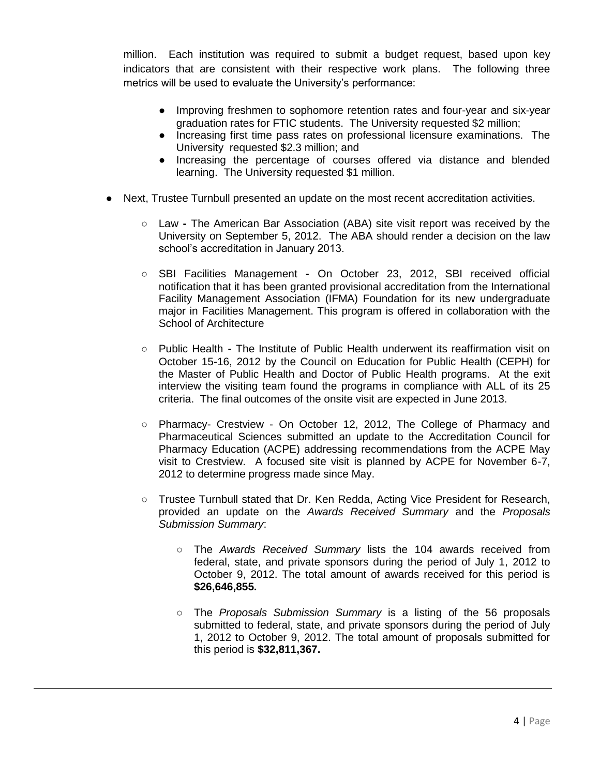million. Each institution was required to submit a budget request, based upon key indicators that are consistent with their respective work plans. The following three metrics will be used to evaluate the University's performance:

- Improving freshmen to sophomore retention rates and four-year and six-year graduation rates for FTIC students. The University requested \$2 million;
- Increasing first time pass rates on professional licensure examinations. The University requested \$2.3 million; and
- Increasing the percentage of courses offered via distance and blended learning. The University requested \$1 million.
- Next, Trustee Turnbull presented an update on the most recent accreditation activities.
	- Law **-** The American Bar Association (ABA) site visit report was received by the University on September 5, 2012. The ABA should render a decision on the law school's accreditation in January 2013.
	- SBI Facilities Management **-** On October 23, 2012, SBI received official notification that it has been granted provisional accreditation from the International Facility Management Association (IFMA) Foundation for its new undergraduate major in Facilities Management. This program is offered in collaboration with the School of Architecture
	- Public Health **-** The Institute of Public Health underwent its reaffirmation visit on October 15-16, 2012 by the Council on Education for Public Health (CEPH) for the Master of Public Health and Doctor of Public Health programs. At the exit interview the visiting team found the programs in compliance with ALL of its 25 criteria. The final outcomes of the onsite visit are expected in June 2013.
	- Pharmacy- Crestview On October 12, 2012, The College of Pharmacy and Pharmaceutical Sciences submitted an update to the Accreditation Council for Pharmacy Education (ACPE) addressing recommendations from the ACPE May visit to Crestview. A focused site visit is planned by ACPE for November 6-7, 2012 to determine progress made since May.
	- Trustee Turnbull stated that Dr. Ken Redda, Acting Vice President for Research, provided an update on the *Awards Received Summary* and the *Proposals Submission Summary*:
		- The *Awards Received Summary* lists the 104 awards received from federal, state, and private sponsors during the period of July 1, 2012 to October 9, 2012. The total amount of awards received for this period is **\$26,646,855.**
		- The *Proposals Submission Summary* is a listing of the 56 proposals submitted to federal, state, and private sponsors during the period of July 1, 2012 to October 9, 2012. The total amount of proposals submitted for this period is **\$32,811,367.**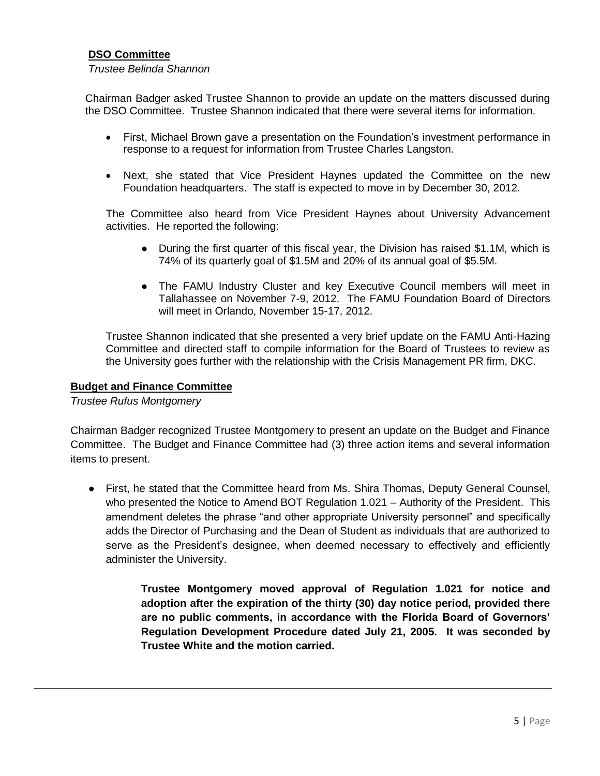# **DSO Committee**

#### *Trustee Belinda Shannon*

Chairman Badger asked Trustee Shannon to provide an update on the matters discussed during the DSO Committee. Trustee Shannon indicated that there were several items for information.

- First, Michael Brown gave a presentation on the Foundation's investment performance in response to a request for information from Trustee Charles Langston.
- Next, she stated that Vice President Haynes updated the Committee on the new Foundation headquarters. The staff is expected to move in by December 30, 2012.

The Committee also heard from Vice President Haynes about University Advancement activities. He reported the following:

- During the first quarter of this fiscal year, the Division has raised \$1.1M, which is 74% of its quarterly goal of \$1.5M and 20% of its annual goal of \$5.5M.
- The FAMU Industry Cluster and key Executive Council members will meet in Tallahassee on November 7-9, 2012. The FAMU Foundation Board of Directors will meet in Orlando, November 15-17, 2012.

Trustee Shannon indicated that she presented a very brief update on the FAMU Anti-Hazing Committee and directed staff to compile information for the Board of Trustees to review as the University goes further with the relationship with the Crisis Management PR firm, DKC.

#### **Budget and Finance Committee**

*Trustee Rufus Montgomery*

Chairman Badger recognized Trustee Montgomery to present an update on the Budget and Finance Committee. The Budget and Finance Committee had (3) three action items and several information items to present.

● First, he stated that the Committee heard from Ms. Shira Thomas, Deputy General Counsel, who presented the Notice to Amend BOT Regulation 1.021 – Authority of the President. This amendment deletes the phrase "and other appropriate University personnel" and specifically adds the Director of Purchasing and the Dean of Student as individuals that are authorized to serve as the President's designee, when deemed necessary to effectively and efficiently administer the University.

> **Trustee Montgomery moved approval of Regulation 1.021 for notice and adoption after the expiration of the thirty (30) day notice period, provided there are no public comments, in accordance with the Florida Board of Governors' Regulation Development Procedure dated July 21, 2005. It was seconded by Trustee White and the motion carried.**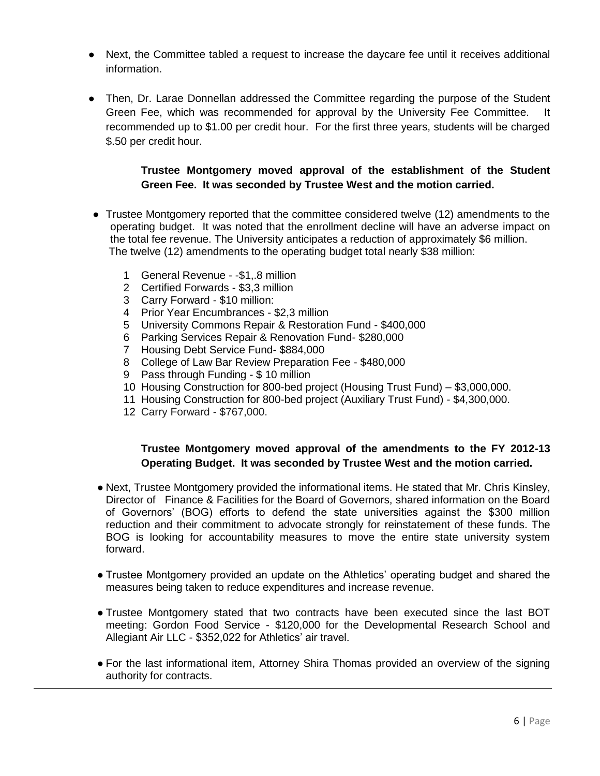- Next, the Committee tabled a request to increase the daycare fee until it receives additional information.
- Then, Dr. Larae Donnellan addressed the Committee regarding the purpose of the Student Green Fee, which was recommended for approval by the University Fee Committee. It recommended up to \$1.00 per credit hour. For the first three years, students will be charged \$.50 per credit hour.

# **Trustee Montgomery moved approval of the establishment of the Student Green Fee. It was seconded by Trustee West and the motion carried.**

- Trustee Montgomery reported that the committee considered twelve (12) amendments to the operating budget. It was noted that the enrollment decline will have an adverse impact on the total fee revenue. The University anticipates a reduction of approximately \$6 million. The twelve (12) amendments to the operating budget total nearly \$38 million:
	- 1 General Revenue -\$1,.8 million
	- 2 Certified Forwards \$3,3 million
	- 3 Carry Forward \$10 million:
	- 4 Prior Year Encumbrances \$2,3 million
	- 5 University Commons Repair & Restoration Fund \$400,000
	- 6 Parking Services Repair & Renovation Fund- \$280,000
	- 7 Housing Debt Service Fund- \$884,000
	- 8 College of Law Bar Review Preparation Fee \$480,000
	- 9 Pass through Funding \$ 10 million
	- 10 Housing Construction for 800-bed project (Housing Trust Fund) \$3,000,000.
	- 11 Housing Construction for 800-bed project (Auxiliary Trust Fund) \$4,300,000.
	- 12 Carry Forward \$767,000.

# **Trustee Montgomery moved approval of the amendments to the FY 2012-13 Operating Budget. It was seconded by Trustee West and the motion carried.**

- Next, Trustee Montgomery provided the informational items. He stated that Mr. Chris Kinsley, Director of Finance & Facilities for the Board of Governors, shared information on the Board of Governors' (BOG) efforts to defend the state universities against the \$300 million reduction and their commitment to advocate strongly for reinstatement of these funds. The BOG is looking for accountability measures to move the entire state university system forward.
- Trustee Montgomery provided an update on the Athletics' operating budget and shared the measures being taken to reduce expenditures and increase revenue.
- Trustee Montgomery stated that two contracts have been executed since the last BOT meeting: Gordon Food Service - \$120,000 for the Developmental Research School and Allegiant Air LLC - \$352,022 for Athletics' air travel.
- For the last informational item, Attorney Shira Thomas provided an overview of the signing authority for contracts.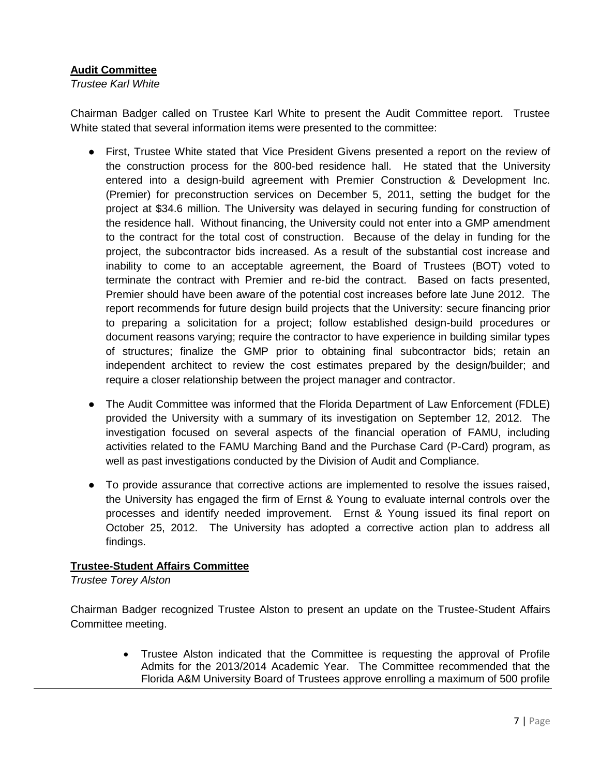# **Audit Committee**

*Trustee Karl White*

Chairman Badger called on Trustee Karl White to present the Audit Committee report. Trustee White stated that several information items were presented to the committee:

- First, Trustee White stated that Vice President Givens presented a report on the review of the construction process for the 800-bed residence hall. He stated that the University entered into a design-build agreement with Premier Construction & Development Inc. (Premier) for preconstruction services on December 5, 2011, setting the budget for the project at \$34.6 million. The University was delayed in securing funding for construction of the residence hall. Without financing, the University could not enter into a GMP amendment to the contract for the total cost of construction. Because of the delay in funding for the project, the subcontractor bids increased. As a result of the substantial cost increase and inability to come to an acceptable agreement, the Board of Trustees (BOT) voted to terminate the contract with Premier and re-bid the contract. Based on facts presented, Premier should have been aware of the potential cost increases before late June 2012. The report recommends for future design build projects that the University: secure financing prior to preparing a solicitation for a project; follow established design-build procedures or document reasons varying; require the contractor to have experience in building similar types of structures; finalize the GMP prior to obtaining final subcontractor bids; retain an independent architect to review the cost estimates prepared by the design/builder; and require a closer relationship between the project manager and contractor.
- The Audit Committee was informed that the Florida Department of Law Enforcement (FDLE) provided the University with a summary of its investigation on September 12, 2012. The investigation focused on several aspects of the financial operation of FAMU, including activities related to the FAMU Marching Band and the Purchase Card (P-Card) program, as well as past investigations conducted by the Division of Audit and Compliance.
- To provide assurance that corrective actions are implemented to resolve the issues raised, the University has engaged the firm of Ernst & Young to evaluate internal controls over the processes and identify needed improvement. Ernst & Young issued its final report on October 25, 2012. The University has adopted a corrective action plan to address all findings.

### **Trustee-Student Affairs Committee**

*Trustee Torey Alston*

Chairman Badger recognized Trustee Alston to present an update on the Trustee-Student Affairs Committee meeting.

> Trustee Alston indicated that the Committee is requesting the approval of Profile Admits for the 2013/2014 Academic Year. The Committee recommended that the Florida A&M University Board of Trustees approve enrolling a maximum of 500 profile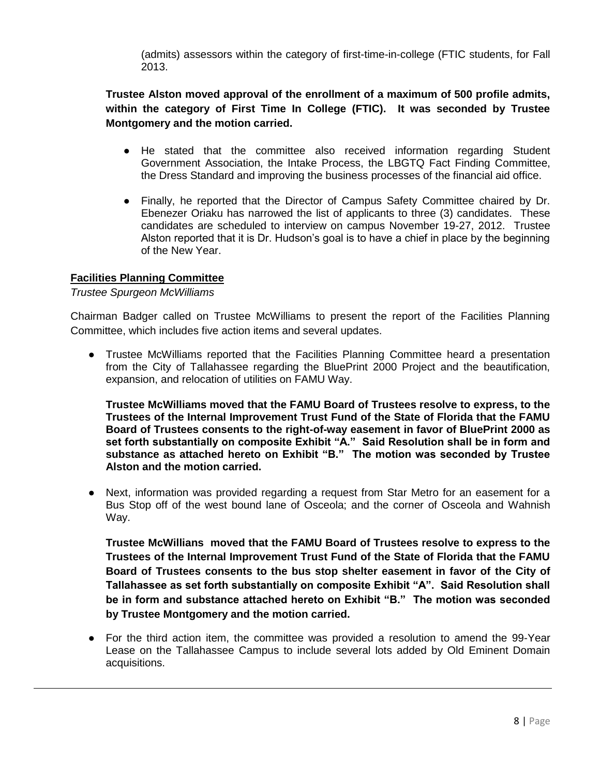(admits) assessors within the category of first-time-in-college (FTIC students, for Fall 2013.

**Trustee Alston moved approval of the enrollment of a maximum of 500 profile admits, within the category of First Time In College (FTIC). It was seconded by Trustee Montgomery and the motion carried.** 

- He stated that the committee also received information regarding Student Government Association, the Intake Process, the LBGTQ Fact Finding Committee, the Dress Standard and improving the business processes of the financial aid office.
- Finally, he reported that the Director of Campus Safety Committee chaired by Dr. Ebenezer Oriaku has narrowed the list of applicants to three (3) candidates. These candidates are scheduled to interview on campus November 19-27, 2012. Trustee Alston reported that it is Dr. Hudson's goal is to have a chief in place by the beginning of the New Year.

### **Facilities Planning Committee**

#### *Trustee Spurgeon McWilliams*

Chairman Badger called on Trustee McWilliams to present the report of the Facilities Planning Committee, which includes five action items and several updates.

● Trustee McWilliams reported that the Facilities Planning Committee heard a presentation from the City of Tallahassee regarding the BluePrint 2000 Project and the beautification, expansion, and relocation of utilities on FAMU Way.

**Trustee McWilliams moved that the FAMU Board of Trustees resolve to express, to the Trustees of the Internal Improvement Trust Fund of the State of Florida that the FAMU Board of Trustees consents to the right-of-way easement in favor of BluePrint 2000 as set forth substantially on composite Exhibit "A." Said Resolution shall be in form and substance as attached hereto on Exhibit "B." The motion was seconded by Trustee Alston and the motion carried.**

● Next, information was provided regarding a request from Star Metro for an easement for a Bus Stop off of the west bound lane of Osceola; and the corner of Osceola and Wahnish Way.

**Trustee McWillians moved that the FAMU Board of Trustees resolve to express to the Trustees of the Internal Improvement Trust Fund of the State of Florida that the FAMU Board of Trustees consents to the bus stop shelter easement in favor of the City of Tallahassee as set forth substantially on composite Exhibit "A". Said Resolution shall be in form and substance attached hereto on Exhibit "B." The motion was seconded by Trustee Montgomery and the motion carried.**

● For the third action item, the committee was provided a resolution to amend the 99-Year Lease on the Tallahassee Campus to include several lots added by Old Eminent Domain acquisitions.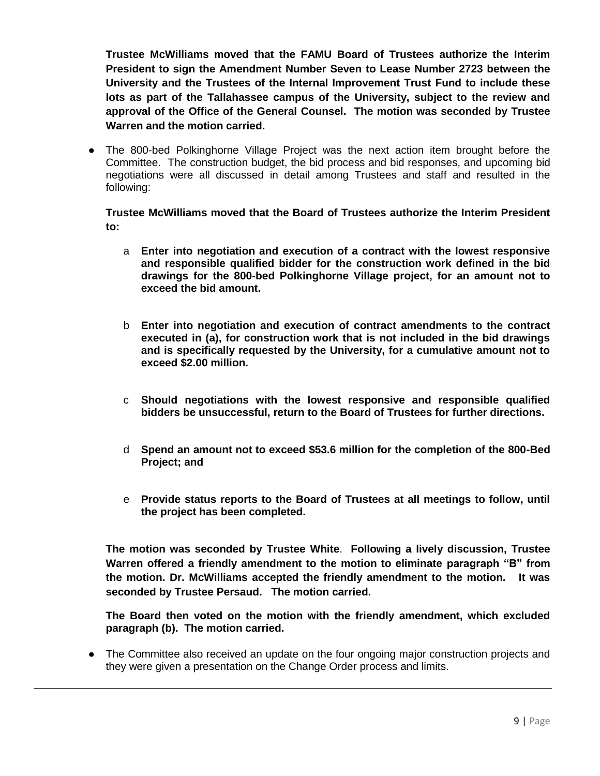**Trustee McWilliams moved that the FAMU Board of Trustees authorize the Interim President to sign the Amendment Number Seven to Lease Number 2723 between the University and the Trustees of the Internal Improvement Trust Fund to include these lots as part of the Tallahassee campus of the University, subject to the review and approval of the Office of the General Counsel. The motion was seconded by Trustee Warren and the motion carried.** 

• The 800-bed Polkinghorne Village Project was the next action item brought before the Committee. The construction budget, the bid process and bid responses, and upcoming bid negotiations were all discussed in detail among Trustees and staff and resulted in the following:

**Trustee McWilliams moved that the Board of Trustees authorize the Interim President to:**

- a **Enter into negotiation and execution of a contract with the lowest responsive and responsible qualified bidder for the construction work defined in the bid drawings for the 800-bed Polkinghorne Village project, for an amount not to exceed the bid amount.**
- b **Enter into negotiation and execution of contract amendments to the contract executed in (a), for construction work that is not included in the bid drawings and is specifically requested by the University, for a cumulative amount not to exceed \$2.00 million.**
- c **Should negotiations with the lowest responsive and responsible qualified bidders be unsuccessful, return to the Board of Trustees for further directions.**
- d **Spend an amount not to exceed \$53.6 million for the completion of the 800-Bed Project; and**
- e **Provide status reports to the Board of Trustees at all meetings to follow, until the project has been completed.**

**The motion was seconded by Trustee White**. **Following a lively discussion, Trustee Warren offered a friendly amendment to the motion to eliminate paragraph "B" from the motion. Dr. McWilliams accepted the friendly amendment to the motion. It was seconded by Trustee Persaud. The motion carried.** 

**The Board then voted on the motion with the friendly amendment, which excluded paragraph (b). The motion carried.** 

• The Committee also received an update on the four ongoing major construction projects and they were given a presentation on the Change Order process and limits.